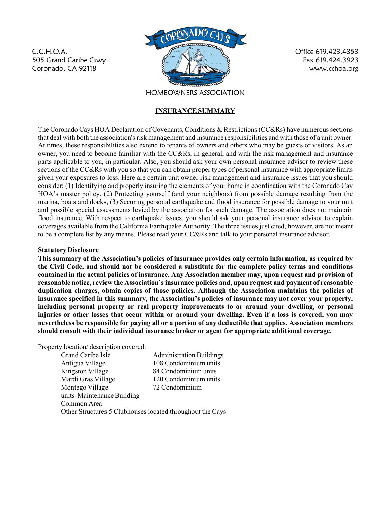C.C.H.O.A. 505 Grand Caribe Cswy. Coronado, CA 92118



Office 619.423.4353 Fax 619.424.3923 www.cchoa.org

HOMEOWNERS ASSOCIATION

#### **INSURANCE SUMMARY**

The Coronado Cays HOA Declaration of Covenants, Conditions & Restrictions (CC&Rs) have numerous sections that deal with both the association's risk management and insurance responsibilities and with those of a unit owner. At times, these responsibilities also extend to tenants of owners and others who may be guests or visitors. As an owner, you need to become familiar with the CC&Rs, in general, and with the risk management and insurance parts applicable to you, in particular. Also, you should ask your own personal insurance advisor to review these sections of the CC&Rs with you so that you can obtain proper types of personal insurance with appropriate limits given your exposures to loss. Here are certain unit owner risk management and insurance issues that you should consider: (1) Identifying and properly insuring the elements of your home in coordination with the Coronado Cay HOA's master policy. (2) Protecting yourself (and your neighbors) from possible damage resulting from the marina, boats and docks, (3) Securing personal earthquake and flood insurance for possible damage to your unit and possible special assessments levied by the association for such damage. The association does not maintain flood insurance. With respect to earthquake issues, you should ask your personal insurance advisor to explain coverages available from the California Earthquake Authority. The three issues just cited, however, are not meant to be a complete list by any means. Please read your CC&Rs and talk to your personal insurance advisor.

#### **Statutory Disclosure**

**This summary of the Association's policies of insurance provides only certain information, as required by the Civil Code, and should not be considered a substitute for the complete policy terms and conditions contained in the actual policies of insurance. Any Association member may, upon request and provision of reasonable notice, review the Association's insurance policies and, upon request and payment of reasonable duplication charges, obtain copies of those policies. Although the Association maintains the policies of insurance specified in this summary, the Association's policies of insurance may not cover your property, including personal property or real property improvements to or around your dwelling, or personal injuries or other losses that occur within or around your dwelling. Even if a loss is covered, you may nevertheless be responsible for paying all or a portion of any deductible that applies. Association members should consult with their individual insurance broker or agent for appropriate additional coverage.**

Property location/ description covered:

| Grand Caribe Isle                                         | <b>Administration Buildings</b> |  |  |
|-----------------------------------------------------------|---------------------------------|--|--|
| Antigua Village                                           | 108 Condominium units           |  |  |
| Kingston Village                                          | 84 Condominium units            |  |  |
| Mardi Gras Village                                        | 120 Condominium units           |  |  |
| Montego Village                                           | 72 Condominium                  |  |  |
| units Maintenance Building                                |                                 |  |  |
| Common Area                                               |                                 |  |  |
| Other Structures 5 Clubhouses located throughout the Cays |                                 |  |  |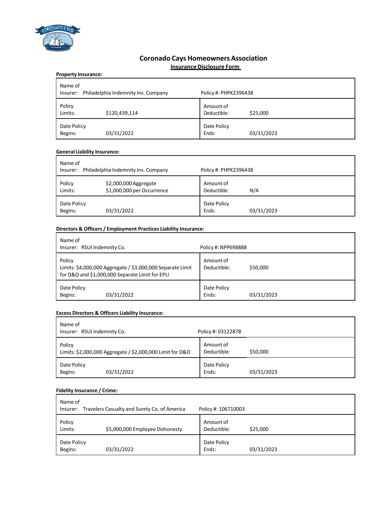

### **Coronado Cays Homeowners Association Insurance Disclosure Form**

| <b>Property Insurance:</b> |                                     |                          |            |
|----------------------------|-------------------------------------|--------------------------|------------|
| Name of<br>Insurer:        | Philadelphia Indemnity Ins. Company | Policy #: PHPK2396438    |            |
| Policy<br>Limits:          | \$120,439,114                       | Amount of<br>Deductible: | \$25,000   |
| Date Policy<br>Begins:     | 03/31/2022                          | Date Policy<br>Ends:     | 03/31/2023 |

#### **General Liability Insurance:**

| Name of<br>Insurer:    | Philadelphia Indemnity Ins. Company                 | Policy #: PHPK2396438    |            |
|------------------------|-----------------------------------------------------|--------------------------|------------|
| Policy<br>Limits:      | \$2,000,000 Aggregate<br>\$1,000,000 per Occurrence | Amount of<br>Deductible: | N/A        |
| Date Policy<br>Begins: | 03/31/2022                                          | Date Policy<br>Ends:     | 03/31/2023 |

#### **Directors & Officers / Employment Practices Liability Insurance:**

| Name of<br>Insurer: RSUI Indemnity Co.                     | Policy #: NPP698888 |
|------------------------------------------------------------|---------------------|
| Policy                                                     | Amount of           |
| Limits: \$4,000,000 Aggregate / \$3,000,000 Separate Limit | Deductible:         |
| for D&O and \$1,000,000 Separate Limit for EPLI            | \$50,000            |
| Date Policy                                                | Date Policy         |
| Begins:                                                    | Ends:               |
| 03/31/2022                                                 | 03/31/2023          |

#### **Excess Directors & Officers Liability Insurance:**

| Name of<br>Insurer: RSUI Indemnity Co.                              | Policy #: 03122878                   |
|---------------------------------------------------------------------|--------------------------------------|
| Policy<br>Limits: \$2,000,000 Aggregate / \$2,000,000 Limit for D&O | Amount of<br>\$50,000<br>Deductible: |
| Date Policy<br>Begins:<br>03/31/2022                                | Date Policy<br>Ends:<br>03/31/2023   |

#### **Fidelity Insurance / Crime:**

| Name of<br>Insurer:    | Travelers Casualty and Surety Co. of America | Policy #: 106710003      |            |
|------------------------|----------------------------------------------|--------------------------|------------|
| Policy<br>Limits:      | \$5,000,000 Employee Dishonesty              | Amount of<br>Deductible: | \$25,000   |
| Date Policy<br>Begins: | 03/31/2022                                   | Date Policy<br>Ends:     | 03/31/2023 |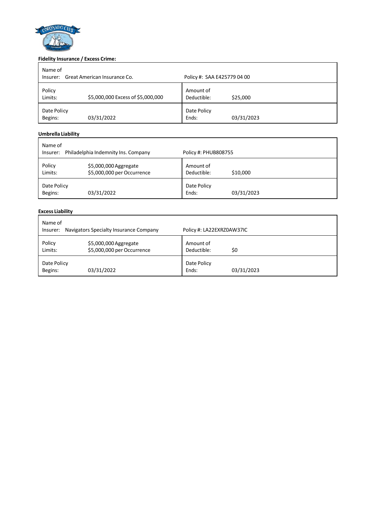

#### **Fidelity Insurance / Excess Crime:**

| Name of<br>Insurer:    | Great American Insurance Co.      | Policy #: SAA E425779 04 00 |            |
|------------------------|-----------------------------------|-----------------------------|------------|
| Policy<br>Limits:      | \$5,000,000 Excess of \$5,000,000 | Amount of<br>Deductible:    | \$25,000   |
| Date Policy<br>Begins: | 03/31/2022                        | Date Policy<br>Ends:        | 03/31/2023 |

#### **Umbrella Liability**

| Name of<br>Insurer:    | Philadelphia Indemnity Ins. Company                 | Policy #: PHUB808755     |            |
|------------------------|-----------------------------------------------------|--------------------------|------------|
| Policy<br>Limits:      | \$5,000,000 Aggregate<br>\$5,000,000 per Occurrence | Amount of<br>Deductible: | \$10,000   |
| Date Policy<br>Begins: | 03/31/2022                                          | Date Policy<br>Ends:     | 03/31/2023 |

#### **Excess Liability**

| Name of<br>Insurer:    | Navigators Specialty Insurance Company              | Policy #: LA22EXRZ0AW37IC |            |
|------------------------|-----------------------------------------------------|---------------------------|------------|
| Policy<br>Limits:      | \$5,000,000 Aggregate<br>\$5,000,000 per Occurrence | Amount of<br>Deductible:  | \$0        |
| Date Policy<br>Begins: | 03/31/2022                                          | Date Policy<br>Ends:      | 03/31/2023 |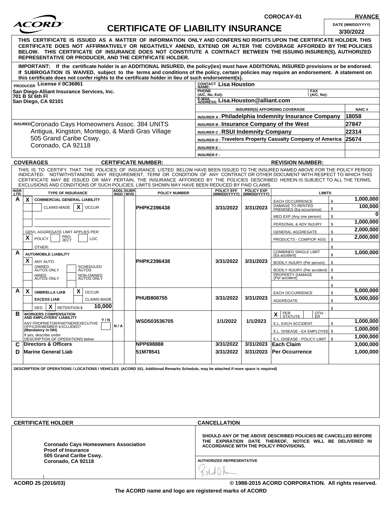

## **CERTIFICATE OF LIABILITY INSURANCE**

**COROCAY-01 RVANCE**

|                                                                                                                                                                                                                                                                                                                                                                                                                           |                              |                              |                                               |                                   |                                                                                                                            |                | 3/30/2022              |
|---------------------------------------------------------------------------------------------------------------------------------------------------------------------------------------------------------------------------------------------------------------------------------------------------------------------------------------------------------------------------------------------------------------------------|------------------------------|------------------------------|-----------------------------------------------|-----------------------------------|----------------------------------------------------------------------------------------------------------------------------|----------------|------------------------|
| THIS  CERTIFICATE  IS  ISSUED  AS  A  MATTER  OF  INFORMATION  ONLY AND CONFERS NO RIGHTS UPON THE CERTIFICATE HOLDER. THIS<br>CERTIFICATE DOES NOT AFFIRMATIVELY OR NEGATIVELY AMEND, EXTEND OR ALTER THE COVERAGE AFFORDED BY THE POLICIES<br>BELOW. THIS CERTIFICATE OF INSURANCE DOES NOT CONSTITUTE A CONTRACT BETWEEN THE ISSUING INSURER(S), AUTHORIZED<br>REPRESENTATIVE OR PRODUCER, AND THE CERTIFICATE HOLDER. |                              |                              |                                               |                                   |                                                                                                                            |                |                        |
| IMPORTANT: If the certificate holder is an ADDITIONAL INSURED, the policy(ies) must have ADDITIONAL INSURED provisions or be endorsed.<br>If SUBROGATION IS WAIVED, subject to the terms and conditions of the policy, certain policies may require an endorsement. A statement on<br>this certificate does not confer rights to the certificate holder in lieu of such endorsement(s).                                   |                              |                              |                                               |                                   |                                                                                                                            |                |                        |
| PRODUCER License # 0C36861                                                                                                                                                                                                                                                                                                                                                                                                |                              |                              | CONTACT Lisa Houston                          |                                   |                                                                                                                            |                |                        |
| San Diego-Alliant Insurance Services, Inc.                                                                                                                                                                                                                                                                                                                                                                                |                              |                              | <b>PHONE</b>                                  |                                   | <b>FAX</b>                                                                                                                 |                |                        |
| 701 B St 6th FI<br>San Diego, CA 92101                                                                                                                                                                                                                                                                                                                                                                                    |                              |                              | (A/C, No, Ext):<br>E-MAIL                     | Lisa.Houston@alliant.com          | (A/C, No):                                                                                                                 |                |                        |
|                                                                                                                                                                                                                                                                                                                                                                                                                           |                              |                              | <b>ADDRESS</b>                                |                                   | <b>INSURER(S) AFFORDING COVERAGE</b>                                                                                       |                | <b>NAIC#</b>           |
|                                                                                                                                                                                                                                                                                                                                                                                                                           |                              |                              |                                               |                                   | <b>INSURER A: Philadelphia Indemnity Insurance Company</b>                                                                 |                | 18058                  |
| INSURED Coronado Cays Homeowners Assoc. 384 UNITS                                                                                                                                                                                                                                                                                                                                                                         |                              |                              | INSURER B: Insurance Company of the West      |                                   |                                                                                                                            |                | 27847                  |
| Antigua, Kingston, Montego, & Mardi Gras Village                                                                                                                                                                                                                                                                                                                                                                          |                              |                              | <b>INSURER C: RSUI Indemnity Company</b>      |                                   |                                                                                                                            |                | 22314                  |
| 505 Grand Caribe Cswy.                                                                                                                                                                                                                                                                                                                                                                                                    |                              |                              |                                               |                                   | INSURER D: Travelers Property Casualty Company of America                                                                  |                | 25674                  |
| Coronado, CA 92118                                                                                                                                                                                                                                                                                                                                                                                                        |                              |                              | <b>INSURER E:</b>                             |                                   |                                                                                                                            |                |                        |
|                                                                                                                                                                                                                                                                                                                                                                                                                           |                              |                              | <b>INSURER F:</b>                             |                                   |                                                                                                                            |                |                        |
| <b>COVERAGES</b>                                                                                                                                                                                                                                                                                                                                                                                                          |                              | <b>CERTIFICATE NUMBER:</b>   |                                               |                                   | <b>REVISION NUMBER:</b>                                                                                                    |                |                        |
| THIS IS TO CERTIFY THAT THE POLICIES OF INSURANCE LISTED BELOW HAVE BEEN ISSUED TO THE INSURED NAMED ABOVE FOR THE POLICY PERIOD                                                                                                                                                                                                                                                                                          |                              |                              |                                               |                                   |                                                                                                                            |                |                        |
| INDICATED. NOTWITHSTANDING ANY REQUIREMENT, TERM OR CONDITION OF ANY CONTRACT OR OTHER DOCUMENT WITH RESPECT TO WHICH THIS<br>CERTIFICATE MAY BE ISSUED OR MAY PERTAIN, THE INSURANCE AFFORDED BY THE POLICIES DESCRIBED HEREIN IS SUBJECT TO ALL THE TERMS.<br>EXCLUSIONS AND CONDITIONS OF SUCH POLICIES. LIMITS SHOWN MAY HAVE BEEN REDUCED BY PAID CLAIMS.                                                            |                              |                              |                                               |                                   |                                                                                                                            |                |                        |
| <b>INSR</b><br><b>TYPE OF INSURANCE</b><br><b>LTR</b>                                                                                                                                                                                                                                                                                                                                                                     | <b>ADDL</b> SUBR<br>INSD WVD | <b>POLICY NUMBER</b>         | <b>POLICY EFF</b><br>(MM/DD/YYYY)             | <b>POLICY EXP</b><br>(MM/DD/YYYY) | <b>LIMITS</b>                                                                                                              |                |                        |
| A<br>X.<br><b>COMMERCIAL GENERAL LIABILITY</b>                                                                                                                                                                                                                                                                                                                                                                            |                              |                              |                                               |                                   | <b>EACH OCCURRENCE</b>                                                                                                     | \$             | 1,000,000              |
| X<br>CLAIMS-MADE<br><b>OCCUR</b>                                                                                                                                                                                                                                                                                                                                                                                          |                              | <b>PHPK2396438</b>           | 3/31/2022                                     | 3/31/2023                         | DAMAGE TO RENTED<br>PREMISES (Ea occurrence)                                                                               | \$             | 100,000                |
|                                                                                                                                                                                                                                                                                                                                                                                                                           |                              |                              |                                               |                                   | MED EXP (Any one person)                                                                                                   | \$             | ŋ                      |
|                                                                                                                                                                                                                                                                                                                                                                                                                           |                              |                              |                                               |                                   | PERSONAL & ADV INJURY                                                                                                      | \$             | 1,000,000              |
| GEN'L AGGREGATE LIMIT APPLIES PER:                                                                                                                                                                                                                                                                                                                                                                                        |                              |                              |                                               |                                   | <b>GENERAL AGGREGATE</b>                                                                                                   | \$             | 2,000,000              |
| PRO-<br>JECT<br>X<br><b>POLICY</b><br>LOC                                                                                                                                                                                                                                                                                                                                                                                 |                              |                              |                                               |                                   | PRODUCTS - COMP/OP AGG                                                                                                     | $\mathfrak{L}$ | 2,000,000              |
| OTHER:                                                                                                                                                                                                                                                                                                                                                                                                                    |                              |                              |                                               |                                   |                                                                                                                            |                |                        |
| A<br><b>AUTOMOBILE LIABILITY</b>                                                                                                                                                                                                                                                                                                                                                                                          |                              |                              |                                               |                                   | <b>COMBINED SINGLE LIMIT</b><br>(Ea accident)                                                                              |                | 1,000,000              |
| X<br>ANY AUTO                                                                                                                                                                                                                                                                                                                                                                                                             |                              | <b>PHPK2396438</b>           | 3/31/2022                                     | 3/31/2023                         | BODILY INJURY (Per person)                                                                                                 | \$             |                        |
| OWNED<br>AUTOS ONLY<br><b>SCHEDULED</b><br><b>AUTOS</b>                                                                                                                                                                                                                                                                                                                                                                   |                              |                              |                                               |                                   | BODILY INJURY (Per accident)                                                                                               | $\mathfrak{s}$ |                        |
| HIRED<br>AUTOS ONLY<br>NON-OWNED<br>AUTOS ONLY                                                                                                                                                                                                                                                                                                                                                                            |                              |                              |                                               |                                   | PROPERTY DAMAGE<br>(Per accident)                                                                                          | \$             |                        |
|                                                                                                                                                                                                                                                                                                                                                                                                                           |                              |                              |                                               |                                   |                                                                                                                            | \$             |                        |
| Α<br>$\mathsf{x}$<br>X<br><b>UMBRELLA LIAB</b><br><b>OCCUR</b>                                                                                                                                                                                                                                                                                                                                                            |                              |                              |                                               |                                   | EACH OCCURRENCE                                                                                                            | \$             | 5,000,000              |
| <b>EXCESS LIAB</b><br><b>CLAIMS-MADE</b>                                                                                                                                                                                                                                                                                                                                                                                  |                              | <b>PHUB808755</b>            | 3/31/2022                                     | 3/31/2023                         | AGGREGATE                                                                                                                  | \$             | 5,000,000              |
| 10,000<br>$X$ RETENTIONS<br><b>DED</b>                                                                                                                                                                                                                                                                                                                                                                                    |                              |                              |                                               |                                   | PER<br>OTH-                                                                                                                | \$             |                        |
| В<br><b>WORKERS COMPENSATION</b><br>AND EMPLOYERS' LIABILITY<br>Y/N                                                                                                                                                                                                                                                                                                                                                       |                              |                              |                                               |                                   | $\mathbf{x}$<br>$\sim$ STATULE 1<br>I ER                                                                                   |                |                        |
| ANY PROPRIETOR/PARTNER/EXECUTIVE<br>OFFICER/MEMBER EXCLUDED?<br><b>(Mandatory in NH)</b>                                                                                                                                                                                                                                                                                                                                  | N/A                          | <b>WSD503536705</b>          | 1/1/2022                                      | 1/1/2023                          | E.L. EACH ACCIDENT                                                                                                         | \$             | 1,000,000<br>1,000,000 |
|                                                                                                                                                                                                                                                                                                                                                                                                                           |                              |                              |                                               |                                   | E.L. DISEASE - EA EMPLOYEE                                                                                                 | \$             |                        |
| If yes, describe under<br>DESCRIPTION OF OPERATIONS below<br>Directors & Officers                                                                                                                                                                                                                                                                                                                                         |                              |                              | 3/31/2022                                     | 3/31/2023                         | E.L. DISEASE - POLICY LIMIT<br><b>Each Claim</b>                                                                           | \$             | 1,000,000<br>3,000,000 |
| <b>Marine General Liab</b><br>D.                                                                                                                                                                                                                                                                                                                                                                                          |                              | <b>NPP698888</b><br>51M78541 | 3/31/2022                                     | 3/31/2023                         | <b>Per Occurrence</b>                                                                                                      |                | 1,000,000              |
|                                                                                                                                                                                                                                                                                                                                                                                                                           |                              |                              |                                               |                                   |                                                                                                                            |                |                        |
|                                                                                                                                                                                                                                                                                                                                                                                                                           |                              |                              |                                               |                                   |                                                                                                                            |                |                        |
| DESCRIPTION OF OPERATIONS / LOCATIONS / VEHICLES (ACORD 101, Additional Remarks Schedule, may be attached if more space is required)                                                                                                                                                                                                                                                                                      |                              |                              |                                               |                                   |                                                                                                                            |                |                        |
|                                                                                                                                                                                                                                                                                                                                                                                                                           |                              |                              |                                               |                                   |                                                                                                                            |                |                        |
|                                                                                                                                                                                                                                                                                                                                                                                                                           |                              |                              |                                               |                                   |                                                                                                                            |                |                        |
|                                                                                                                                                                                                                                                                                                                                                                                                                           |                              |                              |                                               |                                   |                                                                                                                            |                |                        |
|                                                                                                                                                                                                                                                                                                                                                                                                                           |                              |                              |                                               |                                   |                                                                                                                            |                |                        |
|                                                                                                                                                                                                                                                                                                                                                                                                                           |                              |                              |                                               |                                   |                                                                                                                            |                |                        |
|                                                                                                                                                                                                                                                                                                                                                                                                                           |                              |                              |                                               |                                   |                                                                                                                            |                |                        |
| <b>CERTIFICATE HOLDER</b>                                                                                                                                                                                                                                                                                                                                                                                                 |                              |                              | <b>CANCELLATION</b>                           |                                   |                                                                                                                            |                |                        |
| <b>Coronado Cays Homeowners Association</b><br><b>Proof of Insurance</b>                                                                                                                                                                                                                                                                                                                                                  |                              |                              | <b>ACCORDANCE WITH THE POLICY PROVISIONS.</b> |                                   | SHOULD ANY OF THE ABOVE DESCRIBED POLICIES BE CANCELLED BEFORE<br>THE EXPIRATION DATE THEREOF, NOTICE WILL BE DELIVERED IN |                |                        |
| 505 Grand Caribe Cswy.<br>Coronado, CA 92118                                                                                                                                                                                                                                                                                                                                                                              |                              |                              | <b>AUTHORIZED REPRESENTATIVE</b>              |                                   |                                                                                                                            |                |                        |
|                                                                                                                                                                                                                                                                                                                                                                                                                           |                              |                              |                                               |                                   |                                                                                                                            |                |                        |
|                                                                                                                                                                                                                                                                                                                                                                                                                           |                              |                              |                                               |                                   |                                                                                                                            |                |                        |
|                                                                                                                                                                                                                                                                                                                                                                                                                           |                              |                              |                                               |                                   |                                                                                                                            |                |                        |

**ACORD 25 (2016/03) © 1988-2015 ACORD CORPORATION. All rights reserved.**